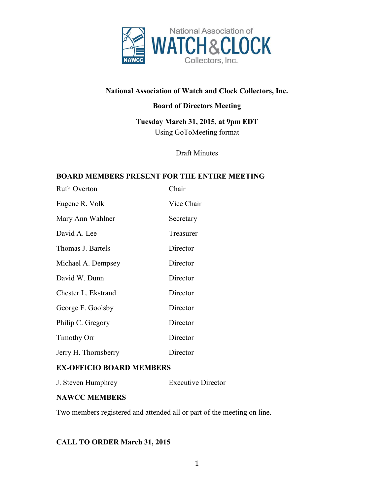

# **National Association of Watch and Clock Collectors, Inc.**

# **Board of Directors Meeting**

**Tuesday March 31, 2015, at 9pm EDT** Using GoToMeeting format

Draft Minutes

#### **BOARD MEMBERS PRESENT FOR THE ENTIRE MEETING**

| <b>Ruth Overton</b>  | Chair      |
|----------------------|------------|
| Eugene R. Volk       | Vice Chair |
| Mary Ann Wahlner     | Secretary  |
| David A. Lee         | Treasurer  |
| Thomas J. Bartels    | Director   |
| Michael A. Dempsey   | Director   |
| David W. Dunn        | Director   |
| Chester L. Ekstrand  | Director   |
| George F. Goolsby    | Director   |
| Philip C. Gregory    | Director   |
| <b>Timothy Orr</b>   | Director   |
| Jerry H. Thornsberry | Director   |

### **EX-OFFICIO BOARD MEMBERS**

J. Steven Humphrey Executive Director

### **NAWCC MEMBERS**

Two members registered and attended all or part of the meeting on line.

# **CALL TO ORDER March 31, 2015**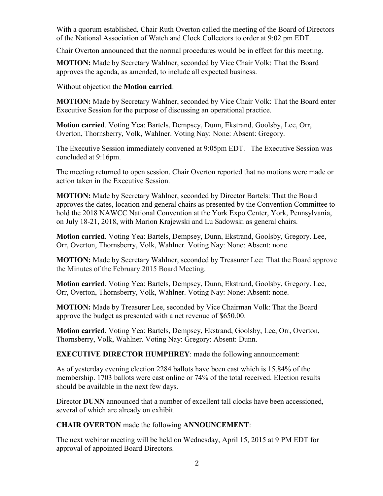With a quorum established, Chair Ruth Overton called the meeting of the Board of Directors of the National Association of Watch and Clock Collectors to order at 9:02 pm EDT.

Chair Overton announced that the normal procedures would be in effect for this meeting.

**MOTION:** Made by Secretary Wahlner, seconded by Vice Chair Volk: That the Board approves the agenda, as amended, to include all expected business.

Without objection the **Motion carried**.

**MOTION:** Made by Secretary Wahlner, seconded by Vice Chair Volk: That the Board enter Executive Session for the purpose of discussing an operational practice.

**Motion carried**. Voting Yea: Bartels, Dempsey, Dunn, Ekstrand, Goolsby, Lee, Orr, Overton, Thornsberry, Volk, Wahlner. Voting Nay: None: Absent: Gregory.

The Executive Session immediately convened at 9:05pm EDT. The Executive Session was concluded at 9:16pm.

The meeting returned to open session. Chair Overton reported that no motions were made or action taken in the Executive Session.

**MOTION:** Made by Secretary Wahlner, seconded by Director Bartels: That the Board approves the dates, location and general chairs as presented by the Convention Committee to hold the 2018 NAWCC National Convention at the York Expo Center, York, Pennsylvania, on July 18-21, 2018, with Marion Krajewski and Lu Sadowski as general chairs.

**Motion carried**. Voting Yea: Bartels, Dempsey, Dunn, Ekstrand, Goolsby, Gregory. Lee, Orr, Overton, Thornsberry, Volk, Wahlner. Voting Nay: None: Absent: none.

**MOTION:** Made by Secretary Wahlner, seconded by Treasurer Lee: That the Board approve the Minutes of the February 2015 Board Meeting.

**Motion carried**. Voting Yea: Bartels, Dempsey, Dunn, Ekstrand, Goolsby, Gregory. Lee, Orr, Overton, Thornsberry, Volk, Wahlner. Voting Nay: None: Absent: none.

**MOTION:** Made by Treasurer Lee, seconded by Vice Chairman Volk: That the Board approve the budget as presented with a net revenue of \$650.00.

**Motion carried**. Voting Yea: Bartels, Dempsey, Ekstrand, Goolsby, Lee, Orr, Overton, Thornsberry, Volk, Wahlner. Voting Nay: Gregory: Absent: Dunn.

**EXECUTIVE DIRECTOR HUMPHREY**: made the following announcement:

As of yesterday evening election 2284 ballots have been cast which is 15.84% of the membership. 1703 ballots were cast online or 74% of the total received. Election results should be available in the next few days.

Director **DUNN** announced that a number of excellent tall clocks have been accessioned, several of which are already on exhibit.

**CHAIR OVERTON** made the following **ANNOUNCEMENT**:

The next webinar meeting will be held on Wednesday, April 15, 2015 at 9 PM EDT for approval of appointed Board Directors.